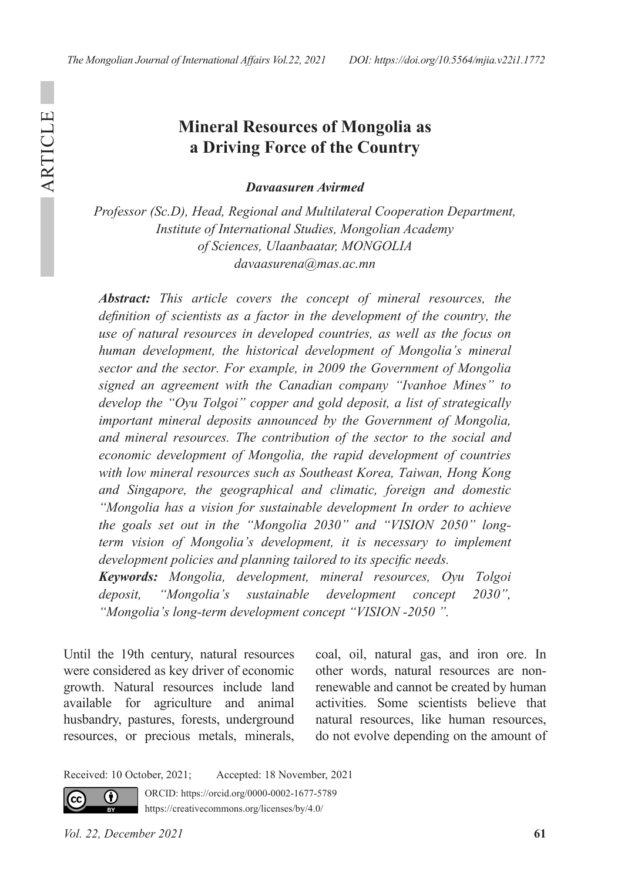ARTICLE

**ARTICLE** 

## **Mineral Resources of Mongolia as a Driving Force of the Country**

*Davaasuren Avirmed*

*Professor (Sc.D), Head, Regional and Multilateral Cooperation Department, Institute of International Studies, Mongolian Academy of Sciences, Ulaanbaatar, MONGOLIA davaasurena@mas.ac.mn*

*Abstract: This article covers the concept of mineral resources, the definition of scientists as a factor in the development of the country, the use of natural resources in developed countries, as well as the focus on human development, the historical development of Mongolia's mineral sector and the sector. For example, in 2009 the Government of Mongolia signed an agreement with the Canadian company "Ivanhoe Mines" to develop the "Oyu Tolgoi" copper and gold deposit, a list of strategically important mineral deposits announced by the Government of Mongolia, and mineral resources. The contribution of the sector to the social and economic development of Mongolia, the rapid development of countries with low mineral resources such as Southeast Korea, Taiwan, Hong Kong and Singapore, the geographical and climatic, foreign and domestic "Mongolia has a vision for sustainable development In order to achieve the goals set out in the "Mongolia 2030" and "VISION 2050" longterm vision of Mongolia's development, it is necessary to implement development policies and planning tailored to its specific needs.*

*Keywords: Mongolia, development, mineral resources, Oyu Tolgoi deposit, "Mongolia's sustainable development concept 2030", "Mongolia's long-term development concept "VISION -2050 ".*

Until the 19th century, natural resources were considered as key driver of economic growth. Natural resources include land available for agriculture and animal husbandry, pastures, forests, underground resources, or precious metals, minerals,

coal, oil, natural gas, and iron ore. In other words, natural resources are nonrenewable and cannot be created by human activities. Some scientists believe that natural resources, like human resources, do not evolve depending on the amount of

Received: 10 October, 2021; Accepted: 18 November, 2021



ORCID: https://orcid.org/0000-0002-1677-5789

https://creativecommons.org/licenses/by/4.0/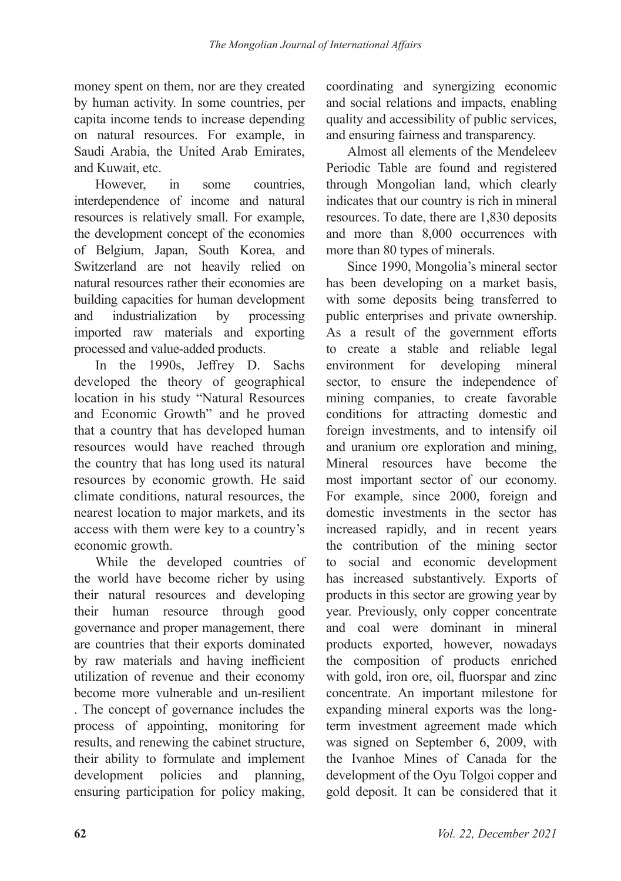money spent on them, nor are they created by human activity. In some countries, per capita income tends to increase depending on natural resources. For example, in Saudi Arabia, the United Arab Emirates, and Kuwait, etc.

However, in some countries, interdependence of income and natural resources is relatively small. For example, the development concept of the economies of Belgium, Japan, South Korea, and Switzerland are not heavily relied on natural resources rather their economies are building capacities for human development and industrialization by processing imported raw materials and exporting processed and value-added products.

In the 1990s, Jeffrey D. Sachs developed the theory of geographical location in his study "Natural Resources and Economic Growth" and he proved that a country that has developed human resources would have reached through the country that has long used its natural resources by economic growth. He said climate conditions, natural resources, the nearest location to major markets, and its access with them were key to a country's economic growth.

While the developed countries of the world have become richer by using their natural resources and developing their human resource through good governance and proper management, there are countries that their exports dominated by raw materials and having inefficient utilization of revenue and their economy become more vulnerable and un-resilient . The concept of governance includes the process of appointing, monitoring for results, and renewing the cabinet structure, their ability to formulate and implement development policies and planning, ensuring participation for policy making,

coordinating and synergizing economic and social relations and impacts, enabling quality and accessibility of public services, and ensuring fairness and transparency.

Almost all elements of the Mendeleev Periodic Table are found and registered through Mongolian land, which clearly indicates that our country is rich in mineral resources. To date, there are 1,830 deposits and more than 8,000 occurrences with more than 80 types of minerals.

Since 1990, Mongolia's mineral sector has been developing on a market basis, with some deposits being transferred to public enterprises and private ownership. As a result of the government efforts to create a stable and reliable legal environment for developing mineral sector, to ensure the independence of mining companies, to create favorable conditions for attracting domestic and foreign investments, and to intensify oil and uranium ore exploration and mining, Mineral resources have become the most important sector of our economy. For example, since 2000, foreign and domestic investments in the sector has increased rapidly, and in recent years the contribution of the mining sector to social and economic development has increased substantively. Exports of products in this sector are growing year by year. Previously, only copper concentrate and coal were dominant in mineral products exported, however, nowadays the composition of products enriched with gold, iron ore, oil, fluorspar and zinc concentrate. An important milestone for expanding mineral exports was the longterm investment agreement made which was signed on September 6, 2009, with the Ivanhoe Mines of Canada for the development of the Oyu Tolgoi copper and gold deposit. It can be considered that it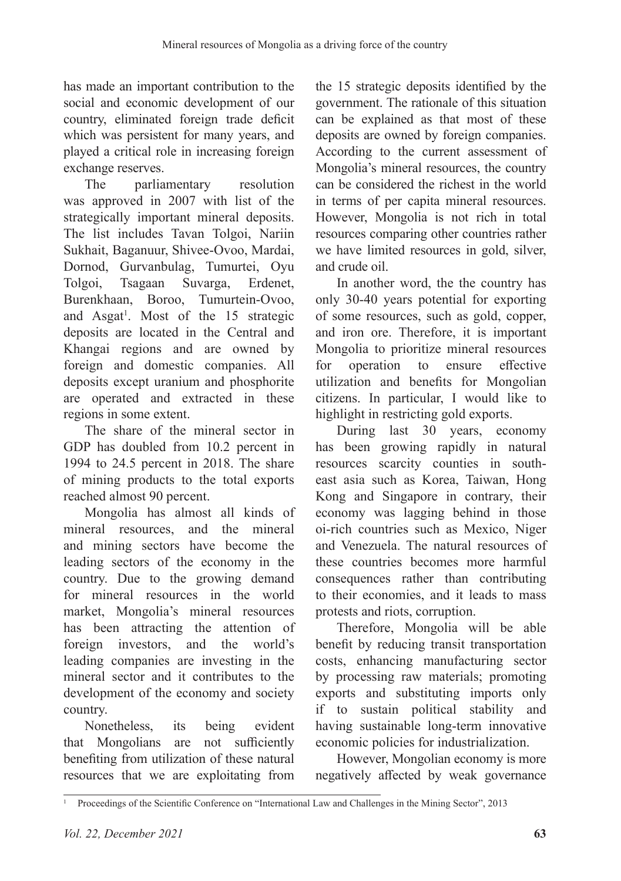has made an important contribution to the social and economic development of our country, eliminated foreign trade deficit which was persistent for many years, and played a critical role in increasing foreign exchange reserves.

The parliamentary resolution was approved in 2007 with list of the strategically important mineral deposits. The list includes Tavan Tolgoi, Nariin Sukhait, Baganuur, Shivee-Ovoo, Mardai, Dornod, Gurvanbulag, Tumurtei, Oyu Tolgoi, Tsagaan Suvarga, Erdenet, Burenkhaan, Boroo, Tumurtein-Ovoo, and Asgat<sup>1</sup>. Most of the 15 strategic deposits are located in the Central and Khangai regions and are owned by foreign and domestic companies. All deposits except uranium and phosphorite are operated and extracted in these regions in some extent.

The share of the mineral sector in GDP has doubled from 10.2 percent in 1994 to 24.5 percent in 2018. The share of mining products to the total exports reached almost 90 percent.

Mongolia has almost all kinds of mineral resources, and the mineral and mining sectors have become the leading sectors of the economy in the country. Due to the growing demand for mineral resources in the world market, Mongolia's mineral resources has been attracting the attention of foreign investors, and the world's leading companies are investing in the mineral sector and it contributes to the development of the economy and society country.

Nonetheless, its being evident that Mongolians are not sufficiently benefiting from utilization of these natural resources that we are exploitating from

the 15 strategic deposits identified by the government. The rationale of this situation can be explained as that most of these deposits are owned by foreign companies. According to the current assessment of Mongolia's mineral resources, the country can be considered the richest in the world in terms of per capita mineral resources. However, Mongolia is not rich in total resources comparing other countries rather we have limited resources in gold, silver, and crude oil.

In another word, the the country has only 30-40 years potential for exporting of some resources, such as gold, copper, and iron ore. Therefore, it is important Mongolia to prioritize mineral resources for operation to ensure effective utilization and benefits for Mongolian citizens. In particular, I would like to highlight in restricting gold exports.

During last 30 years, economy has been growing rapidly in natural resources scarcity counties in southeast asia such as Korea, Taiwan, Hong Kong and Singapore in contrary, their economy was lagging behind in those oi-rich countries such as Mexico, Niger and Venezuela. The natural resources of these countries becomes more harmful consequences rather than contributing to their economies, and it leads to mass protests and riots, corruption.

Therefore, Mongolia will be able benefit by reducing transit transportation costs, enhancing manufacturing sector by processing raw materials; promoting exports and substituting imports only if to sustain political stability and having sustainable long-term innovative economic policies for industrialization.

However, Mongolian economy is more negatively affected by weak governance

<sup>&</sup>lt;sup>1</sup> Proceedings of the Scientific Conference on "International Law and Challenges in the Mining Sector", 2013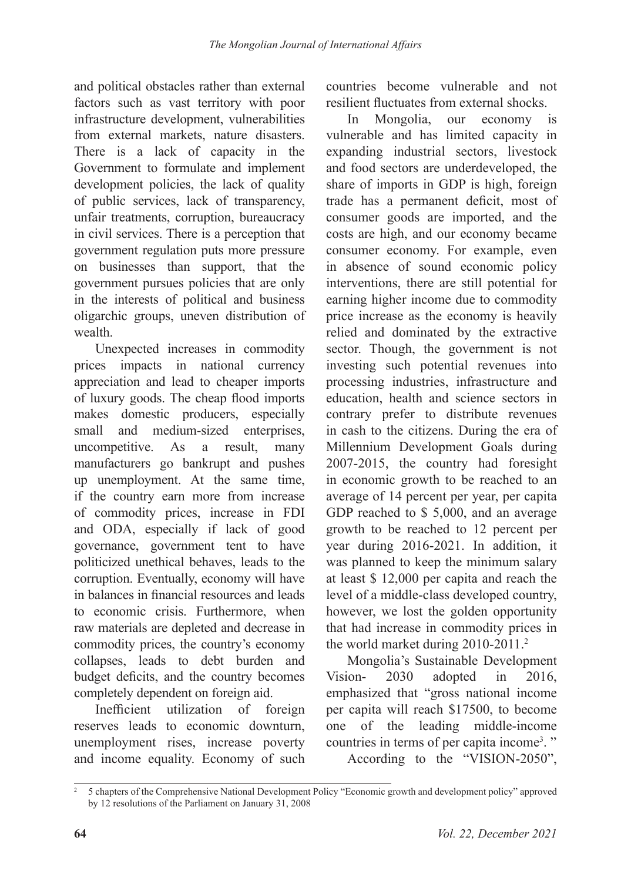and political obstacles rather than external factors such as vast territory with poor infrastructure development, vulnerabilities from external markets, nature disasters. There is a lack of capacity in the Government to formulate and implement development policies, the lack of quality of public services, lack of transparency, unfair treatments, corruption, bureaucracy in civil services. There is a perception that government regulation puts more pressure on businesses than support, that the government pursues policies that are only in the interests of political and business oligarchic groups, uneven distribution of wealth.

Unexpected increases in commodity prices impacts in national currency appreciation and lead to cheaper imports of luxury goods. The cheap flood imports makes domestic producers, especially small and medium-sized enterprises, uncompetitive. As a result, many manufacturers go bankrupt and pushes up unemployment. At the same time, if the country earn more from increase of commodity prices, increase in FDI and ODA, especially if lack of good governance, government tent to have politicized unethical behaves, leads to the corruption. Eventually, economy will have in balances in financial resources and leads to economic crisis. Furthermore, when raw materials are depleted and decrease in commodity prices, the country's economy collapses, leads to debt burden and budget deficits, and the country becomes completely dependent on foreign aid.

Inefficient utilization of foreign reserves leads to economic downturn, unemployment rises, increase poverty and income equality. Economy of such countries become vulnerable and not resilient fluctuates from external shocks.

In Mongolia, our economy is vulnerable and has limited capacity in expanding industrial sectors, livestock and food sectors are underdeveloped, the share of imports in GDP is high, foreign trade has a permanent deficit, most of consumer goods are imported, and the costs are high, and our economy became consumer economy. For example, even in absence of sound economic policy interventions, there are still potential for earning higher income due to commodity price increase as the economy is heavily relied and dominated by the extractive sector. Though, the government is not investing such potential revenues into processing industries, infrastructure and education, health and science sectors in contrary prefer to distribute revenues in cash to the citizens. During the era of Millennium Development Goals during 2007-2015, the country had foresight in economic growth to be reached to an average of 14 percent per year, per capita GDP reached to \$ 5,000, and an average growth to be reached to 12 percent per year during 2016-2021. In addition, it was planned to keep the minimum salary at least \$ 12,000 per capita and reach the level of a middle-class developed country, however, we lost the golden opportunity that had increase in commodity prices in the world market during 2010-2011.<sup>2</sup>

Mongolia's Sustainable Development Vision- 2030 adopted in 2016, emphasized that "gross national income per capita will reach \$17500, to become one of the leading middle-income countries in terms of per capita income<sup>3</sup>." According to the "VISION-2050",

<sup>2</sup> 5 chapters of the Comprehensive National Development Policy "Economic growth and development policy" approved by 12 resolutions of the Parliament on January 31, 2008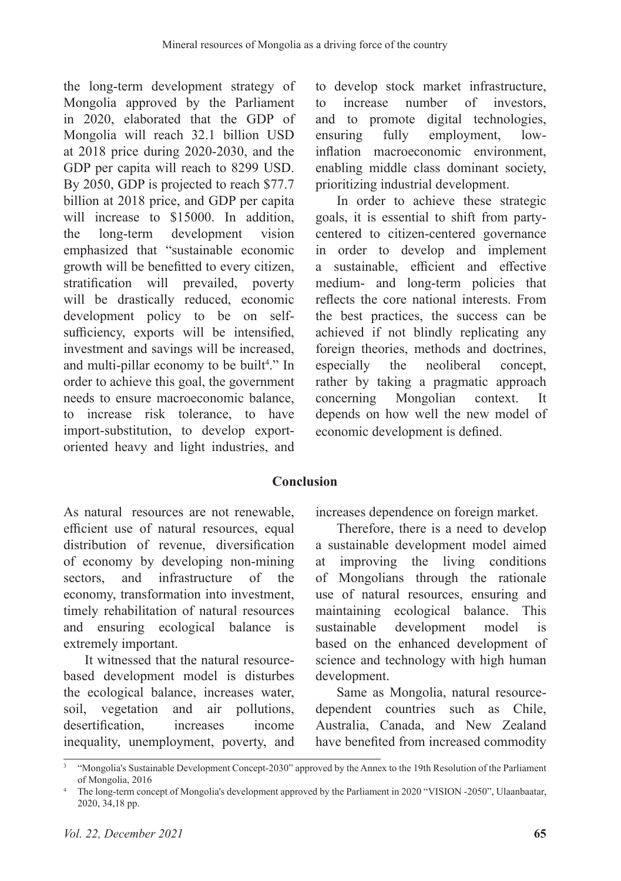the long-term development strategy of Mongolia approved by the Parliament in 2020, elaborated that the GDP of Mongolia will reach 32.1 billion USD at 2018 price during 2020-2030, and the GDP per capita will reach to 8299 USD. By 2050, GDP is projected to reach \$77.7 billion at 2018 price, and GDP per capita will increase to \$15000. In addition, the long-term development vision emphasized that "sustainable economic growth will be benefitted to every citizen, stratification will prevailed, poverty will be drastically reduced, economic development policy to be on selfsufficiency, exports will be intensified, investment and savings will be increased, and multi-pillar economy to be built<sup>4</sup>." In order to achieve this goal, the government needs to ensure macroeconomic balance, to increase risk tolerance, to have import-substitution, to develop exportoriented heavy and light industries, and

to develop stock market infrastructure, to increase number of investors, and to promote digital technologies,<br>ensuring fully employment, lowfully employment, lowinflation macroeconomic environment, enabling middle class dominant society, prioritizing industrial development.

In order to achieve these strategic goals, it is essential to shift from partycentered to citizen-centered governance in order to develop and implement a sustainable, efficient and effective medium- and long-term policies that reflects the core national interests. From the best practices, the success can be achieved if not blindly replicating any foreign theories, methods and doctrines,<br>especially the neoliberal concept, the neoliberal concept. rather by taking a pragmatic approach concerning Mongolian context. It depends on how well the new model of economic development is defined.

## **Conclusion**

As natural resources are not renewable, efficient use of natural resources, equal distribution of revenue, diversification of economy by developing non-mining sectors, and infrastructure of the economy, transformation into investment, timely rehabilitation of natural resources and ensuring ecological balance is extremely important.

It witnessed that the natural resourcebased development model is disturbes the ecological balance, increases water, soil, vegetation and air pollutions, desertification, increases income inequality, unemployment, poverty, and increases dependence on foreign market.

Therefore, there is a need to develop a sustainable development model aimed at improving the living conditions of Mongolians through the rationale use of natural resources, ensuring and maintaining ecological balance. This sustainable development model is based on the enhanced development of science and technology with high human development.

Same as Mongolia, natural resourcedependent countries such as Chile, Australia, Canada, and New Zealand have benefited from increased commodity

<sup>3</sup> "Mongolia's Sustainable Development Concept-2030" approved by the Annex to the 19th Resolution of the Parliament of Mongolia, 2016

<sup>&</sup>lt;sup>4</sup> The long-term concept of Mongolia's development approved by the Parliament in 2020 "VISION -2050", Ulaanbaatar, 2020, 34,18 pp.